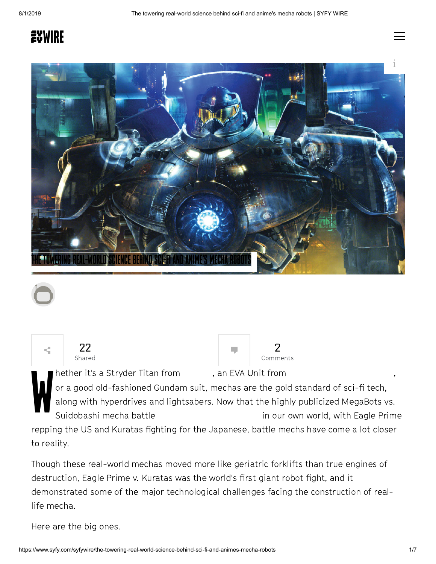



K.

22 Shared



hether it's a Stryder Titan from , an EVA Unit from

 $\overline{\mathsf{W}}$ or a good old-fashioned Gundam suit, mechas are the gold standard of sci-fi tech, along with hyperdrives and lightsabers. Now that the highly publicized MegaBots vs. Suidobashi mecha battle in our own world, with Eagle Prime repping the US and Kuratas fighting for the Japanese, battle mechs have come a lot closer to reality.

Though these real-world mechas moved more like geriatric forklifts than true engines of destruction, Eagle Prime v. Kuratas was the world's first giant robot fight, and it demonstrated some of the major technological challenges facing the construction of reallife mecha.

Here are the big ones.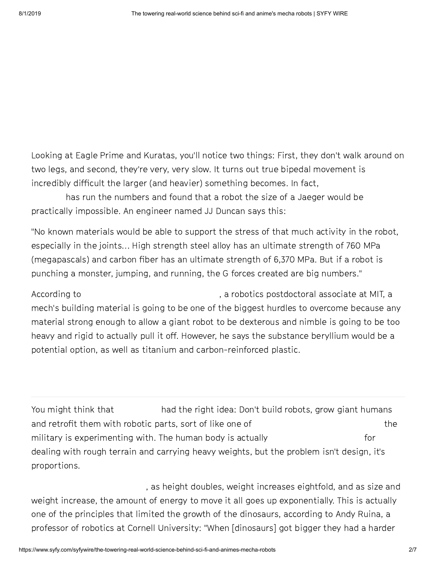Looking at Eagle Prime and Kuratas, you'll notice two things: First, they don't walk around on two legs, and second, they're very, very slow. It turns out true bipedal movement is incredibly difficult the larger (and heavier) [something](http://www.zimbio.com/Beyond+the+Box+Office/articles/TzjPYG8JMuA/Pacific+Rim+How+Engineer+Sees+Jaeger) becomes. In fact,

has run the numbers and found that a robot the size of a Jaeger would be practically impossible. An engineer named JJ Duncan says this:

"No known materials would be able to support the stress of that much activity in the robot, especially in the joints… High strength steel alloy has an ultimate strength of 760 MPa (megapascals) and carbon fiber has an ultimate strength of 6,370 MPa. But if a robot is punching a monster, jumping, and running, the G forces created are big numbers."

According to **According to** , a robotics postdoctoral associate at MIT, a mech's building material is going to be one of the biggest hurdles to overcome because any material strong enough to allow a giant robot to be dexterous and nimble is going to be too heavy and rigid to actually pull it off. However, he says the substance beryllium would be a potential option, as well as titanium and carbon-reinforced plastic.

You might think that had the right idea: Don't build robots, grow giant humans and retrofit them with robotic parts, sort of like one of the the the military is experimenting with. The human body is actually measured to the for dealing with rough terrain and carrying heavy weights, but the problem isn't design, it's proportions.

[,](https://www.space.com/21990-giant-robots-possible-pacific-rim.html) as height doubles, weight increases eightfold, and as size and weight increase, the amount of energy to move it all goes up exponentially. This is actually one of the principles that limited the growth of the dinosaurs, according to Andy Ruina, a professor of robotics at Cornell University: "When [dinosaurs] got bigger they had a harder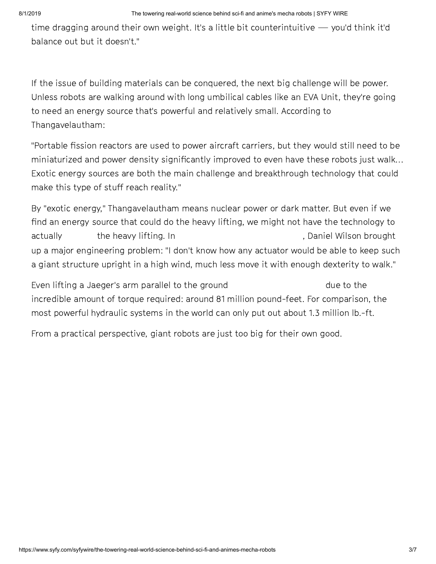time dragging around their own weight. It's a little bit counterintuitive — you'd think it'd balance out but it doesn't."

If the issue of building materials can be conquered, the next big challenge will be power. Unless robots are walking around with long umbilical cables like an EVA Unit, they're going to need an energy source that's powerful and relatively small. According to Thangavelautham:

"Portable fission reactors are used to power aircraft carriers, but they would still need to be miniaturized and power density significantly improved to even have these robots just walk… Exotic energy sources are both the main challenge and breakthrough technology that could make this type of stuff reach reality."

By "exotic energy," Thangavelautham means nuclear power or dark matter. But even if we find an energy source that could do the heavy lifting, we might not have the technology to actually the heavy lifting. In the state of the heavy lifting. In the section of the state of the state of the s up a major engineering problem: "I don't know how any actuator would be able to keep such a giant structure upright in a high wind, much less move it with enough dexterity to walk."

Even lifting a Jaeger's arm parallel to the ground due to the due to the incredible amount of torque required: around 81 million pound-feet. For comparison, the most powerful hydraulic systems in the world can only put out about 1.3 million lb.-ft.

From a practical perspective, giant robots are just too big for their own good.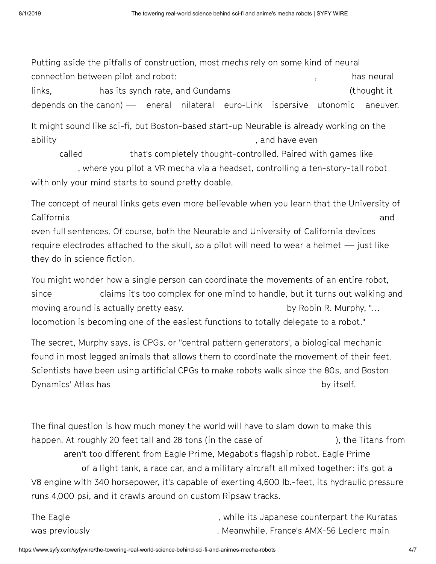Putting aside the pitfalls of construction, most mechs rely on some kind of neural connection between pilot and robot:  $\qquad \qquad$  , has neural links, has its synch rate, and Gundams (thought it depends on the canon) — eneral nilateral euro-Link ispersive utonomic aneuver. It might sound like sci-fi, but Boston-based start-up Neurable is already working on the ability and have even ability and have even called that's completely [thought-controlled.](https://medium.com/neurable/announcing-the-worlds-first-brain-computer-interface-for-virtual-reality-a3110db62607) Paired with games like

, where you pilot a VR mecha via a headset, controlling a ten-story-tall robot with only your mind starts to sound pretty doable.

The concept of neural links gets even more believable when you learn that the University of California and

even full sentences. Of course, both the Neurable and University of California devices require electrodes attached to the skull, so a pilot will need to wear a helmet — just like they do in science fiction.

You might wonder how a single person can coordinate the movements of an entire robot, since claims it's too complex for one mind to handle, but it turns out walking and moving around is actually pretty easy. by Robin R. Murphy, "... locomotion is becoming one of the easiest functions to totally delegate to a robot."

The secret, Murphy says, is CPGs, or ''central pattern generators', a biological mechanic found in most legged animals that allows them to coordinate the movement of their feet. Scientists have been using artificial CPGs to make robots walk since the 80s, and Boston Dynamics' Atlas has by itself.

The final question is how much money the world will have to slam down to make this happen. At roughly 20 feet tall and 28 tons (in the case of  $\Box$ [\)](http://titanfall.wikia.com/wiki/Atlas), the Titans from aren't too different from Eagle Prime, [Megabot's](https://www.kickstarter.com/projects/megabots/support-team-usa-in-the-giant-robot-duel/posts/1435990) flagship robot. Eagle Prime of a light tank, a race car, and a military aircraft all mixed together: it's got a V8 engine with 340 horsepower, it's capable of exerting 4,600 lb.-feet, its hydraulic pressure runs 4,000 psi, and it crawls around on custom Ripsaw tracks.

| The Eagle      | while its Japanese counterpart the Kuratas |
|----------------|--------------------------------------------|
| was previously | Meanwhile, France's AMX-56 Leclerc main    |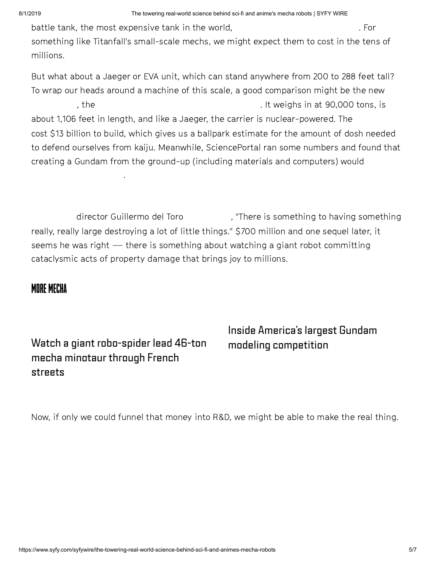battle tank, the most expensive tank in the world,  $\blacksquare$  . For something like Titanfall's small-scale mechs, we might expect them to cost in the tens of millions.

But what about a Jaeger or EVA unit, which can stand anywhere from 200 to 288 feet tall? To wrap our heads around a machine of this scale, a good comparison might be the new the [.](https://abcnews.go.com/US/uss-gerald-ford-numbers/story?id=45854702) It weighs in at 90,000 tons, is about 1,106 feet in length, and like a Jaeger, the carrier is nuclear-powered. The cost \$13 billion to build, which gives us a ballpark estimate for the amount of dosh needed to defend ourselves from kaiju. Meanwhile, SciencePortal ran some numbers and found that creating a Gundam from the ground-up (including materials and [computers\)](https://www.wired.com/2008/01/real-life-gunda/) would

director Guillermo del Toro [13] , "There is something to having something really, really large destroying a lot of little things." \$700 million and one sequel later, it seems he was right — there is something about watching a giant robot committing cataclysmic acts of property damage that brings joy to millions.

### **MORE MECHA**

Watch a giant [robo-spider lead](https://www.syfy.com/syfywire/watch-a-giant-robo-spider-lead-46-ton-mecha-minotaur-through-french-streets) 46-ton mecha minotaur through French streets

.

## [Inside America's](https://www.syfy.com/syfywire/inside-americas-largest-gundam-modeling-competition) largest Gundam modeling competition

Now, if only we could funnel that money into R&D, we might be able to make the real thing.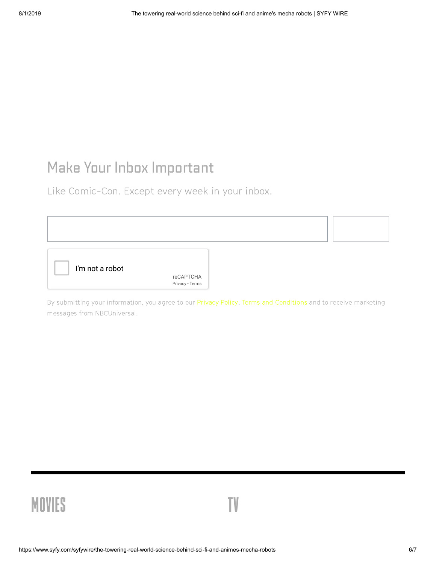## Make Your Inbox Important

Like Comic-Con. Except every week in your inbox.



By submitting your information, you agree to our [Privacy](https://www.nbcuniversal.com/privacy) Policy, Terms and [Conditions](https://www.syfy.com/nbcuniversal-terms-of-use) and to receive marketing messages from NBCUniversal.

<span id="page-5-0"></span>